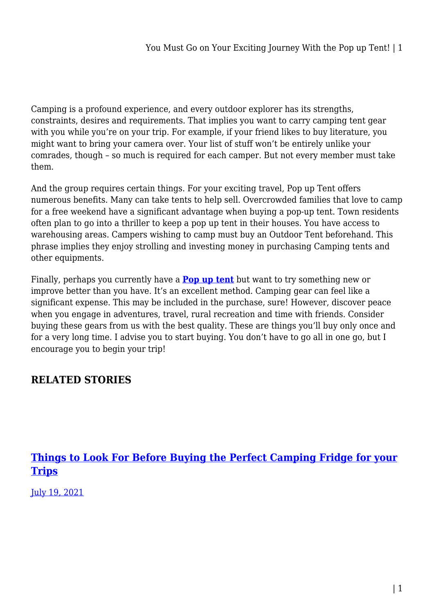Camping is a profound experience, and every outdoor explorer has its strengths, constraints, desires and requirements. That implies you want to carry camping tent gear with you while you're on your trip. For example, if your friend likes to buy literature, you might want to bring your camera over. Your list of stuff won't be entirely unlike your comrades, though – so much is required for each camper. But not every member must take them.

And the group requires certain things. For your exciting travel, Pop up Tent offers numerous benefits. Many can take tents to help sell. Overcrowded families that love to camp for a free weekend have a significant advantage when buying a pop-up tent. Town residents often plan to go into a thriller to keep a pop up tent in their houses. You have access to warehousing areas. Campers wishing to camp must buy an Outdoor Tent beforehand. This phrase implies they enjoy strolling and investing money in purchasing Camping tents and other equipments.

Finally, perhaps you currently have a **[Pop up tent](https://campingoffers.com.au/tent/)** but want to try something new or improve better than you have. It's an excellent method. Camping gear can feel like a significant expense. This may be included in the purchase, sure! However, discover peace when you engage in adventures, travel, rural recreation and time with friends. Consider buying these gears from us with the best quality. These are things you'll buy only once and for a very long time. I advise you to start buying. You don't have to go all in one go, but I encourage you to begin your trip!

## **RELATED STORIES**

### **[Things to Look For Before Buying the Perfect Camping Fridge for your](https://campinglifeaustralia.com.au/398-2/) [Trips](https://campinglifeaustralia.com.au/398-2/)**

[July 19, 2021](https://campinglifeaustralia.com.au/398-2/)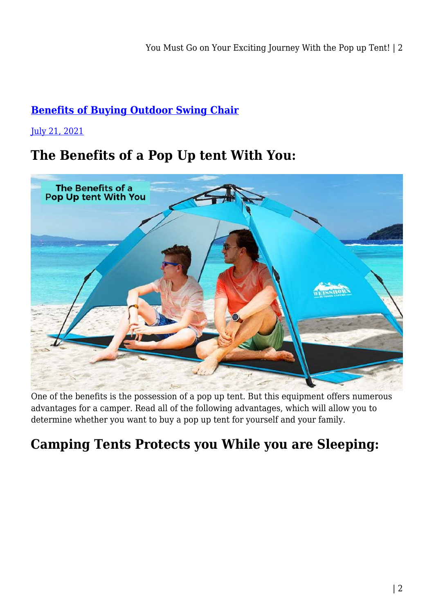## **[Benefits of Buying Outdoor Swing Chair](https://campinglifeaustralia.com.au/benefits-of-buying-outdoor-swing-chair/)**

[July 21, 2021](https://campinglifeaustralia.com.au/benefits-of-buying-outdoor-swing-chair/)

# **The Benefits of a Pop Up tent With You:**



One of the benefits is the possession of a pop up tent. But this equipment offers numerous advantages for a camper. Read all of the following advantages, which will allow you to determine whether you want to buy a pop up tent for yourself and your family.

# **Camping Tents Protects you While you are Sleeping:**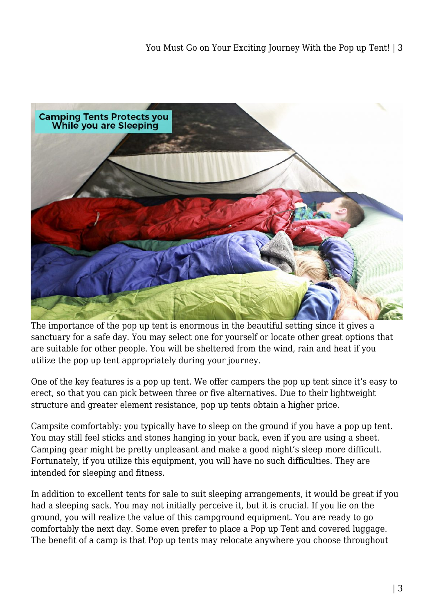

The importance of the pop up tent is enormous in the beautiful setting since it gives a sanctuary for a safe day. You may select one for yourself or locate other great options that are suitable for other people. You will be sheltered from the wind, rain and heat if you utilize the pop up tent appropriately during your journey.

One of the key features is a pop up tent. We offer campers the pop up tent since it's easy to erect, so that you can pick between three or five alternatives. Due to their lightweight structure and greater element resistance, pop up tents obtain a higher price.

Campsite comfortably: you typically have to sleep on the ground if you have a pop up tent. You may still feel sticks and stones hanging in your back, even if you are using a sheet. Camping gear might be pretty unpleasant and make a good night's sleep more difficult. Fortunately, if you utilize this equipment, you will have no such difficulties. They are intended for sleeping and fitness.

In addition to excellent tents for sale to suit sleeping arrangements, it would be great if you had a sleeping sack. You may not initially perceive it, but it is crucial. If you lie on the ground, you will realize the value of this campground equipment. You are ready to go comfortably the next day. Some even prefer to place a Pop up Tent and covered luggage. The benefit of a camp is that Pop up tents may relocate anywhere you choose throughout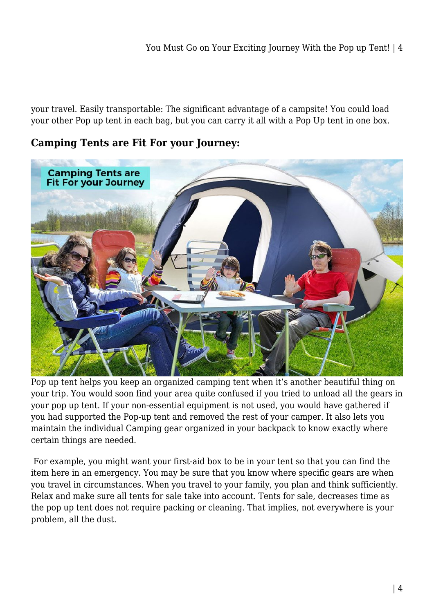your travel. Easily transportable: The significant advantage of a campsite! You could load your other Pop up tent in each bag, but you can carry it all with a Pop Up tent in one box.

#### **Camping Tents are Fit For your Journey:**



Pop up tent helps you keep an organized camping tent when it's another beautiful thing on your trip. You would soon find your area quite confused if you tried to unload all the gears in your pop up tent. If your non-essential equipment is not used, you would have gathered if you had supported the Pop-up tent and removed the rest of your camper. It also lets you maintain the individual Camping gear organized in your backpack to know exactly where certain things are needed.

 For example, you might want your first-aid box to be in your tent so that you can find the item here in an emergency. You may be sure that you know where specific gears are when you travel in circumstances. When you travel to your family, you plan and think sufficiently. Relax and make sure all tents for sale take into account. Tents for sale, decreases time as the pop up tent does not require packing or cleaning. That implies, not everywhere is your problem, all the dust.